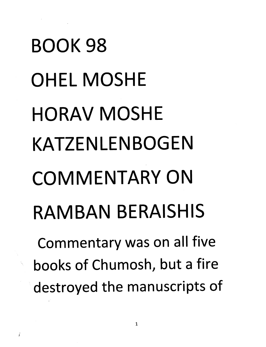## *BOOK 98 OHELMOSHE HORAV MOSHE KATZENLENBOGEN COMMENTARY ON RAMBAN BERAISHIS Commentary was on all five books of Chumosh, but a fire*

*destroyed the manuscripts of*

Ĭ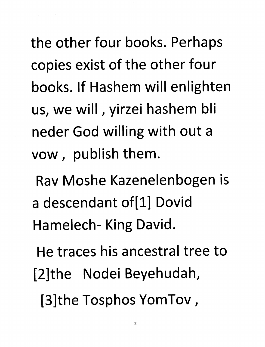*the other four books. Perhaps copies exist of the other four books. If Hashem will enlighten us, we will, yirzei hashem bli neder God willing with out a vow, publish them.*

*Rav Moshe Kazenelenbogen is a descendant of[l] Dovid Hamelech- King David.*

*He traces his ancestral tree to [2]the Nodei Beyehudah, [3]the Tosphos YomTov,*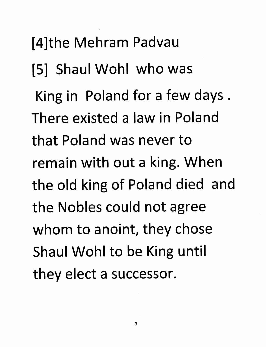*[4]the Mehram Padvau [5] Shaul Wohl who was King in Poland for a few days . There existed a law in Poland that Poland was never to remain with out a king. When the old king of Poland died and the Nobles could not agree whom to anoint, they chose Shaul Wohl to be King until they elect a successor.*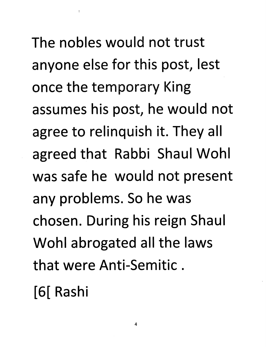The nobles would not trust anyone else for this post, lest once the temporary King assumes his post, he would not agree to relinquish it. They all agreed that Rabbi Shaul Wohl was safe he would not present any problems. So he was chosen. During his reign Shaul Wohl abrogated all the laws that were Anti-Semitic.

[6[ Rashi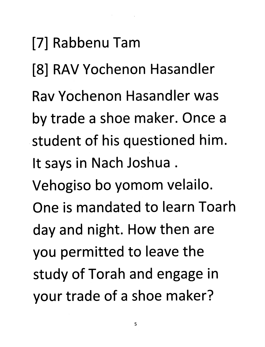## *[7] Rabbenu Tarn*

[8] RAV Yochenon Hasandler

 $\mathcal{O}(\mathcal{O}_\mathcal{O})$  . The set of  $\mathcal{O}_\mathcal{O}$ 

- *RavYochenon Hasandler was*
- *by trade a shoe maker. Once a student of his questioned him. It says in Nach Joshua .*
- *Vehogiso bo yomom velailo.*
- *One is mandated to learn Toarh*
- *day and night. How then are*
- *you permitted to leave the*
- *study of Torah and engage in your trade of a shoe maker?*